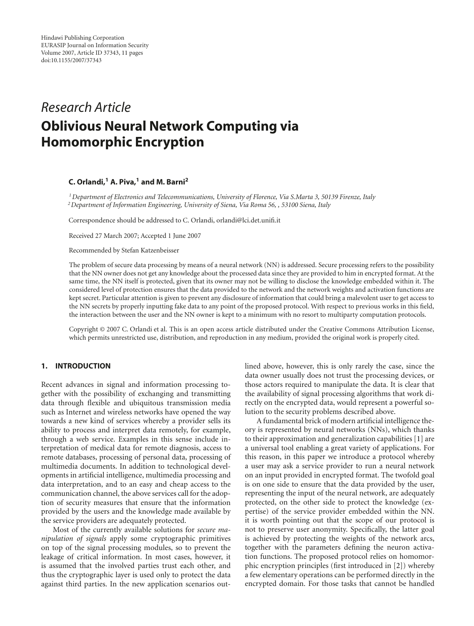# *Research Article* **Oblivious Neural Network Computing via Homomorphic Encryption**

# **C. Orlandi,1 A. Piva,1 and M. Barni2**

*1Department of Electronics and Telecommunications, University of Florence, Via S.Marta 3, 50139 Firenze, Italy 2Department of Information Engineering, University of Siena, Via Roma 56, , 53100 Siena, Italy*

Correspondence should be addressed to C. Orlandi, orlandi@lci.det.unifi.it

Received 27 March 2007; Accepted 1 June 2007

Recommended by Stefan Katzenbeisser

The problem of secure data processing by means of a neural network (NN) is addressed. Secure processing refers to the possibility that the NN owner does not get any knowledge about the processed data since they are provided to him in encrypted format. At the same time, the NN itself is protected, given that its owner may not be willing to disclose the knowledge embedded within it. The considered level of protection ensures that the data provided to the network and the network weights and activation functions are kept secret. Particular attention is given to prevent any disclosure of information that could bring a malevolent user to get access to the NN secrets by properly inputting fake data to any point of the proposed protocol. With respect to previous works in this field, the interaction between the user and the NN owner is kept to a minimum with no resort to multiparty computation protocols.

Copyright © 2007 C. Orlandi et al. This is an open access article distributed under the Creative Commons Attribution License, which permits unrestricted use, distribution, and reproduction in any medium, provided the original work is properly cited.

# **1. INTRODUCTION**

Recent advances in signal and information processing together with the possibility of exchanging and transmitting data through flexible and ubiquitous transmission media such as Internet and wireless networks have opened the way towards a new kind of services whereby a provider sells its ability to process and interpret data remotely, for example, through a web service. Examples in this sense include interpretation of medical data for remote diagnosis, access to remote databases, processing of personal data, processing of multimedia documents. In addition to technological developments in artificial intelligence, multimedia processing and data interpretation, and to an easy and cheap access to the communication channel, the above services call for the adoption of security measures that ensure that the information provided by the users and the knowledge made available by the service providers are adequately protected.

Most of the currently available solutions for *secure manipulation of signals* apply some cryptographic primitives on top of the signal processing modules, so to prevent the leakage of critical information. In most cases, however, it is assumed that the involved parties trust each other, and thus the cryptographic layer is used only to protect the data against third parties. In the new application scenarios outlined above, however, this is only rarely the case, since the data owner usually does not trust the processing devices, or those actors required to manipulate the data. It is clear that the availability of signal processing algorithms that work directly on the encrypted data, would represent a powerful solution to the security problems described above.

A fundamental brick of modern artificial intelligence theory is represented by neural networks (NNs), which thanks to their approximation and generalization capabilities [\[1\]](#page-9-1) are a universal tool enabling a great variety of applications. For this reason, in this paper we introduce a protocol whereby a user may ask a service provider to run a neural network on an input provided in encrypted format. The twofold goal is on one side to ensure that the data provided by the user, representing the input of the neural network, are adequately protected, on the other side to protect the knowledge (expertise) of the service provider embedded within the NN. it is worth pointing out that the scope of our protocol is not to preserve user anonymity. Specifically, the latter goal is achieved by protecting the weights of the network arcs, together with the parameters defining the neuron activation functions. The proposed protocol relies on homomorphic encryption principles (first introduced in [\[2\]](#page-9-2)) whereby a few elementary operations can be performed directly in the encrypted domain. For those tasks that cannot be handled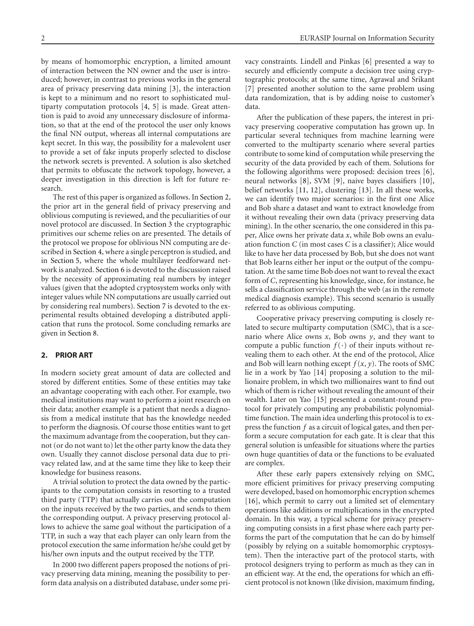by means of homomorphic encryption, a limited amount of interaction between the NN owner and the user is introduced; however, in contrast to previous works in the general area of privacy preserving data mining [\[3\]](#page-9-3), the interaction is kept to a minimum and no resort to sophisticated multiparty computation protocols [\[4](#page-9-4), [5\]](#page-9-5) is made. Great attention is paid to avoid any unnecessary disclosure of information, so that at the end of the protocol the user only knows the final NN output, whereas all internal computations are kept secret. In this way, the possibility for a malevolent user to provide a set of fake inputs properly selected to disclose the network secrets is prevented. A solution is also sketched that permits to obfuscate the network topology, however, a deeper investigation in this direction is left for future research.

The rest of this paper is organized as follows. In [Section 2,](#page-1-0) the prior art in the general field of privacy preserving and oblivious computing is reviewed, and the peculiarities of our novel protocol are discussed. In [Section 3](#page-2-0) the cryptographic primitives our scheme relies on are presented. The details of the protocol we propose for oblivious NN computing are described in [Section 4,](#page-4-0) where a single perceptron is studied, and in [Section 5,](#page-5-0) where the whole multilayer feedforward network is analyzed. [Section 6](#page-7-0) is devoted to the discussion raised by the necessity of approximating real numbers by integer values (given that the adopted cryptosystem works only with integer values while NN computations are usually carried out by considering real numbers). [Section 7](#page-9-6) is devoted to the experimental results obtained developing a distributed application that runs the protocol. Some concluding remarks are given in [Section 8.](#page-9-7)

# <span id="page-1-0"></span>**2. PRIOR ART**

In modern society great amount of data are collected and stored by different entities. Some of these entities may take an advantage cooperating with each other. For example, two medical institutions may want to perform a joint research on their data; another example is a patient that needs a diagnosis from a medical institute that has the knowledge needed to perform the diagnosis. Of course those entities want to get the maximum advantage from the cooperation, but they cannot (or do not want to) let the other party know the data they own. Usually they cannot disclose personal data due to privacy related law, and at the same time they like to keep their knowledge for business reasons.

A trivial solution to protect the data owned by the participants to the computation consists in resorting to a trusted third party (TTP) that actually carries out the computation on the inputs received by the two parties, and sends to them the corresponding output. A privacy preserving protocol allows to achieve the same goal without the participation of a TTP, in such a way that each player can only learn from the protocol execution the same information he/she could get by his/her own inputs and the output received by the TTP.

In 2000 two different papers proposed the notions of privacy preserving data mining, meaning the possibility to perform data analysis on a distributed database, under some privacy constraints. Lindell and Pinkas [\[6\]](#page-10-0) presented a way to securely and efficiently compute a decision tree using cryptographic protocols; at the same time, Agrawal and Srikant [\[7\]](#page-10-1) presented another solution to the same problem using data randomization, that is by adding noise to customer's data.

After the publication of these papers, the interest in privacy preserving cooperative computation has grown up. In particular several techniques from machine learning were converted to the multiparty scenario where several parties contribute to some kind of computation while preserving the security of the data provided by each of them. Solutions for the following algorithms were proposed: decision trees [\[6](#page-10-0)], neural networks [\[8](#page-10-2)], SVM [\[9](#page-10-3)], naive bayes classifiers [\[10](#page-10-4)], belief networks [\[11,](#page-10-5) [12\]](#page-10-6), clustering [\[13](#page-10-7)]. In all these works, we can identify two major scenarios: in the first one Alice and Bob share a dataset and want to extract knowledge from it without revealing their own data (privacy preserving data mining). In the other scenario, the one considered in this paper, Alice owns her private data *x*, while Bob owns an evaluation function *C* (in most cases *C* is a classifier); Alice would like to have her data processed by Bob, but she does not want that Bob learns either her input or the output of the computation. At the same time Bob does not want to reveal the exact form of *C*, representing his knowledge, since, for instance, he sells a classification service through the web (as in the remote medical diagnosis example). This second scenario is usually referred to as oblivious computing.

Cooperative privacy preserving computing is closely related to secure multiparty computation (SMC), that is a scenario where Alice owns *x*, Bob owns *y*, and they want to compute a public function  $f(\cdot)$  of their inputs without revealing them to each other. At the end of the protocol, Alice and Bob will learn nothing except  $f(x, y)$ . The roots of SMC lie in a work by Yao [\[14](#page-10-8)] proposing a solution to the millionaire problem, in which two millionaires want to find out which of them is richer without revealing the amount of their wealth. Later on Yao [\[15](#page-10-9)] presented a constant-round protocol for privately computing any probabilistic polynomialtime function. The main idea underling this protocol is to express the function *f* as a circuit of logical gates, and then perform a secure computation for each gate. It is clear that this general solution is unfeasible for situations where the parties own huge quantities of data or the functions to be evaluated are complex.

After these early papers extensively relying on SMC, more efficient primitives for privacy preserving computing were developed, based on homomorphic encryption schemes [\[16](#page-10-10)], which permit to carry out a limited set of elementary operations like additions or multiplications in the encrypted domain. In this way, a typical scheme for privacy preserving computing consists in a first phase where each party performs the part of the computation that he can do by himself (possibly by relying on a suitable homomorphic cryptosystem). Then the interactive part of the protocol starts, with protocol designers trying to perform as much as they can in an efficient way. At the end, the operations for which an efficient protocol is not known (like division, maximum finding,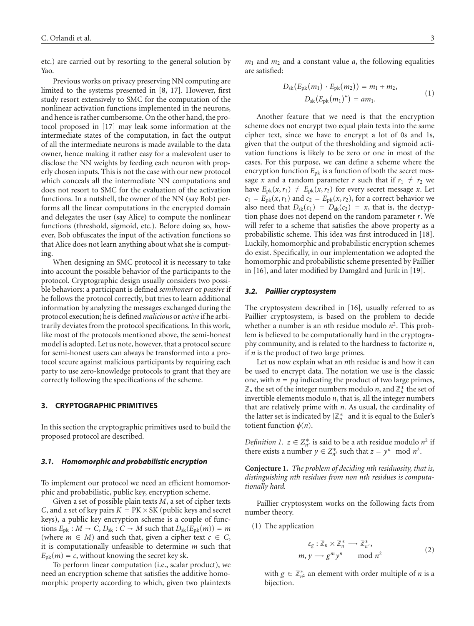etc.) are carried out by resorting to the general solution by Yao.

Previous works on privacy preserving NN computing are limited to the systems presented in [\[8,](#page-10-2) [17](#page-10-11)]. However, first study resort extensively to SMC for the computation of the nonlinear activation functions implemented in the neurons, and hence is rather cumbersome. On the other hand, the protocol proposed in [\[17](#page-10-11)] may leak some information at the intermediate states of the computation, in fact the output of all the intermediate neurons is made available to the data owner, hence making it rather easy for a malevolent user to disclose the NN weights by feeding each neuron with properly chosen inputs. This is not the case with our new protocol which conceals all the intermediate NN computations and does not resort to SMC for the evaluation of the activation functions. In a nutshell, the owner of the NN (say Bob) performs all the linear computations in the encrypted domain and delegates the user (say Alice) to compute the nonlinear functions (threshold, sigmoid, etc.). Before doing so, however, Bob obfuscates the input of the activation functions so that Alice does not learn anything about what she is computing.

When designing an SMC protocol it is necessary to take into account the possible behavior of the participants to the protocol. Cryptographic design usually considers two possible behaviors: a participant is defined *semihonest* or *passive* if he follows the protocol correctly, but tries to learn additional information by analyzing the messages exchanged during the protocol execution; he is defined *malicious* or *active*if he arbitrarily deviates from the protocol specifications. In this work, like most of the protocols mentioned above, the semi-honest model is adopted. Let us note, however, that a protocol secure for semi-honest users can always be transformed into a protocol secure against malicious participants by requiring each party to use zero-knowledge protocols to grant that they are correctly following the specifications of the scheme.

## <span id="page-2-0"></span>**3. CRYPTOGRAPHIC PRIMITIVES**

In this section the cryptographic primitives used to build the proposed protocol are described.

### *3.1. Homomorphic and probabilistic encryption*

To implement our protocol we need an efficient homomorphic and probabilistic, public key, encryption scheme.

Given a set of possible plain texts *M*, a set of cipher texts *C*, and a set of key pairs  $K = PK \times SK$  (public keys and secret keys), a public key encryption scheme is a couple of functions  $E_{\rm pk}$  :  $M \to C$ ,  $D_{\rm sk}$  :  $C \to M$  such that  $D_{\rm sk}(E_{\rm pk}(m)) = m$ (where  $m \in M$ ) and such that, given a cipher text  $c \in C$ , it is computationally unfeasible to determine *m* such that  $E_{\rm pk}(m) = c$ , without knowing the secret key sk.

To perform linear computation (i.e., scalar product), we need an encryption scheme that satisfies the additive homomorphic property according to which, given two plaintexts  $m_1$  and  $m_2$  and a constant value *a*, the following equalities are satisfied:

$$
D_{sk}(E_{pk}(m_1) \cdot E_{pk}(m_2)) = m_1 + m_2,
$$
  
\n
$$
D_{sk}(E_{pk}(m_1)^a) = am_1.
$$
 (1)

Another feature that we need is that the encryption scheme does not encrypt two equal plain texts into the same cipher text, since we have to encrypt a lot of 0s and 1s, given that the output of the thresholding and sigmoid activation functions is likely to be zero or one in most of the cases. For this purpose, we can define a scheme where the encryption function  $E_{\rm pk}$  is a function of both the secret message *x* and a random parameter *r* such that if  $r_1 \neq r_2$  we have  $E_{\rm pk}(x, r_1) \neq E_{\rm pk}(x, r_2)$  for every secret message *x*. Let  $c_1 = E_{\rm pk}(x, r_1)$  and  $c_2 = E_{\rm pk}(x, r_2)$ , for a correct behavior we also need that  $D_{sk}(c_1) = D_{sk}(c_2) = x$ , that is, the decryption phase does not depend on the random parameter *r*. We will refer to a scheme that satisfies the above property as a probabilistic scheme. This idea was first introduced in [\[18](#page-10-12)]. Luckily, homomorphic and probabilistic encryption schemes do exist. Specifically, in our implementation we adopted the homomorphic and probabilistic scheme presented by Paillier in  $[16]$ , and later modified by Damgård and Jurik in  $[19]$  $[19]$  $[19]$ .

#### *3.2. Paillier cryptosystem*

The cryptosystem described in [\[16](#page-10-10)], usually referred to as Paillier cryptosystem, is based on the problem to decide whether a number is an *n*th residue modulo *n*2. This problem is believed to be computationally hard in the cryptography community, and is related to the hardness to factorize *n*, if *n* is the product of two large primes.

Let us now explain what an *n*th residue is and how it can be used to encrypt data. The notation we use is the classic one, with  $n = pq$  indicating the product of two large primes, Z*<sup>n</sup>* the set of the integer numbers modulo *n*, and Z<sup>∗</sup> *<sup>n</sup>* the set of invertible elements modulo *n*, that is, all the integer numbers that are relatively prime with *n*. As usual, the cardinality of the latter set is indicated by  $|\mathbb{Z}_n^*|$  and it is equal to the Euler's totient function *φ*(*n*).

*Definition 1.*  $z \in Z_{n^2}^*$  is said to be a *n*th residue modulo  $n^2$  if there exists a number  $y \in Z_{n^2}^*$  such that  $z = y^n \mod n^2$ .

**Conjecture 1.** *The problem of deciding nth residuosity, that is, distinguishing nth residues from non nth residues is computationally hard.*

Paillier cryptosystem works on the following facts from number theory.

(1) The application

$$
\varepsilon_g: \mathbb{Z}_n \times \mathbb{Z}_n^* \longrightarrow \mathbb{Z}_{n^2}^*,
$$
  
\n $m, y \longrightarrow g^m y^n \mod n^2$  (2)

with  $g \in \mathbb{Z}_{n^2}^*$  an element with order multiple of *n* is a bijection.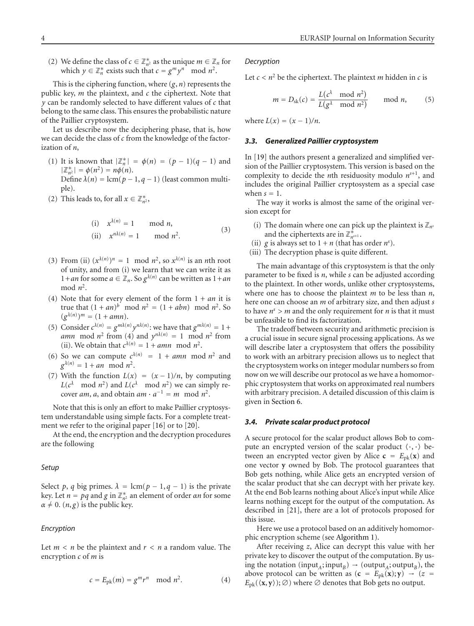(2) We define the class of  $c \in \mathbb{Z}_{n^2}^*$  as the unique  $m \in \mathbb{Z}_n$  for which  $y \in \mathbb{Z}_n^*$  exists such that  $c = g^m y^n \mod n^2$ .

This is the ciphering function, where  $(g, n)$  represents the public key, *m* the plaintext, and *c* the ciphertext. Note that *y* can be randomly selected to have different values of *c* that belong to the same class. This ensures the probabilistic nature of the Paillier cryptosystem.

Let us describe now the deciphering phase, that is, how we can decide the class of *c* from the knowledge of the factorization of *n*,

- (1) It is known that  $|\mathbb{Z}_n^*| = \phi(n) = (p-1)(q-1)$  and  $|\mathbb{Z}_{n^2}^*| = \phi(n^2) = n\phi(n).$ Define  $\lambda(n) = \text{lcm}(p-1, q-1)$  (least common multiple).
- (2) This leads to, for all  $x \in \mathbb{Z}_{n^2}^*$ ,

(i) 
$$
x^{\lambda(n)} = 1
$$
 mod *n*,  
\n(ii)  $x^{n\lambda(n)} = 1$  mod *n*<sup>2</sup>. (3)

- (3) From (ii)  $(x^{\lambda(n)})^n = 1 \mod n^2$ , so  $x^{\lambda(n)}$  is an *n*th root of unity, and from (i) we learn that we can write it as  $1+an$  for some  $a \in \mathbb{Z}_n$ . So  $g^{\lambda(n)}$  can be written as  $1+an$ mod *n*2.
- (4) Note that for every element of the form 1 + *an* it is true that  $(1 + an)^b \mod n^2 = (1 + abn) \mod n^2$ . So  $(g^{\lambda(n)})^m = (1 + amn).$
- (5) Consider  $c^{\lambda(n)} = g^{m\lambda(n)} y^{n\lambda(n)}$ : we have that  $g^{m\lambda(n)} = 1 +$ *amn* mod  $n^2$  from (4) and  $y^{n\lambda(n)} = 1$  mod  $n^2$  from (ii). We obtain that  $c^{\lambda(n)} = 1 + amn \mod n^2$ .
- (6) So we can compute  $c^{\lambda(n)} = 1 + amn \mod n^2$  and  $g^{\lambda(n)} = 1 + an \mod n^2$ .
- (7) With the function  $L(x) = (x 1)/n$ , by computing  $L(c^{\lambda} \mod n^2)$  and  $L(c^{\lambda} \mod n^2)$  we can simply recover *am*, *a*, and obtain  $am \cdot a^{-1} = m \mod n^2$ .

Note that this is only an effort to make Paillier cryptosystem understandable using simple facts. For a complete treatment we refer to the original paper [\[16](#page-10-10)] or to [\[20\]](#page-10-14).

At the end, the encryption and the decryption procedures are the following

# *Setup*

Select *p*, *q* big primes.  $\lambda = \text{lcm}(p - 1, q - 1)$  is the private key. Let  $n = pq$  and  $g$  in  $\mathbb{Z}_{n^2}^*$  an element of order  $\alpha n$  for some  $\alpha \neq 0$ .  $(n, g)$  is the public key.

## *Encryption*

Let  $m < n$  be the plaintext and  $r < n$  a random value. The encryption *c* of *m* is

$$
c = E_{\rm pk}(m) = g^m r^n \mod n^2.
$$
 (4)

#### *Decryption*

Let  $c < n^2$  be the ciphertext. The plaintext *m* hidden in *c* is

$$
m = D_{\rm sk}(c) = \frac{L(c^{\lambda} \mod n^2)}{L(g^{\lambda} \mod n^2)} \mod n, \tag{5}
$$

where  $L(x) = (x - 1)/n$ .

#### <span id="page-3-0"></span>*3.3. Generalized Paillier cryptosystem*

In [\[19\]](#page-10-13) the authors present a generalized and simplified version of the Paillier cryptosystem. This version is based on the complexity to decide the *n*th residuosity modulo  $n^{s+1}$ , and includes the original Paillier cryptosystem as a special case when  $s = 1$ .

The way it works is almost the same of the original version except for

- (i) The domain where one can pick up the plaintext is  $\mathbb{Z}_{n^s}$ and the ciphertexts are in  $\mathbb{Z}_{n^{s+1}}^*$ .
- (ii) *g* is always set to  $1 + n$  (that has order *n<sup>s</sup>*).
- (iii) The decryption phase is quite different.

The main advantage of this cryptosystem is that the only parameter to be fixed is *n*, while *s* can be adjusted according to the plaintext. In other words, unlike other cryptosystems, where one has to choose the plaintext *m* to be less than *n*, here one can choose an *m* of arbitrary size, and then adjust *s* to have  $n^s > m$  and the only requirement for *n* is that it must be unfeasible to find its factorization.

The tradeoff between security and arithmetic precision is a crucial issue in secure signal processing applications. As we will describe later a cryptosystem that offers the possibility to work with an arbitrary precision allows us to neglect that the cryptosystem works on integer modular numbers so from now on we will describe our protocol as we have a homomorphic cryptosystem that works on approximated real numbers with arbitrary precision. A detailed discussion of this claim is given in [Section 6.](#page-7-0)

#### *3.4. Private scalar product protocol*

A secure protocol for the scalar product allows Bob to compute an encrypted version of the scalar product  $\langle \cdot, \cdot \rangle$  between an encrypted vector given by Alice  $\mathbf{c} = E_{\rm pk}(\mathbf{x})$  and one vector **y** owned by Bob. The protocol guarantees that Bob gets nothing, while Alice gets an encrypted version of the scalar product that she can decrypt with her private key. At the end Bob learns nothing about Alice's input while Alice learns nothing except for the output of the computation. As described in [\[21](#page-10-15)], there are a lot of protocols proposed for this issue.

Here we use a protocol based on an additively homomorphic encryption scheme (see Algorithm 1).

After receiving *z*, Alice can decrypt this value with her private key to discover the output of the computation. By using the notation (input<sub>A</sub>; input<sub>B</sub>)  $\rightarrow$  (output<sub>A</sub>; output<sub>B</sub>), the above protocol can be written as  $(c = E_{pk}(x); y) \rightarrow (z =$  $E_{\rm pk}(\langle \mathbf{x}, \mathbf{y} \rangle)$ ;  $\varnothing$ ) where  $\varnothing$  denotes that Bob gets no output.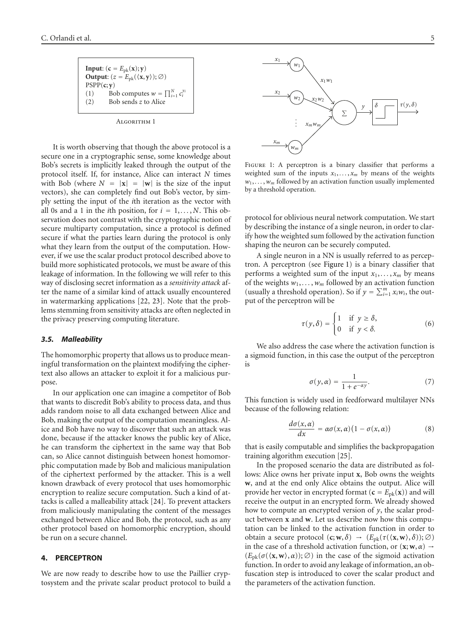**Input:**  $(c = E_{pk}(x); y)$ **Output:**  $(z = E_{\rm pk}(\langle x, y \rangle); \emptyset)$  $PSPP(c; y)$ (1) Bob computes  $w = \prod_{i=1}^{N} c_i^{y_i}$ (2) Bob sends *z* to Alice

| ALGORITHM 1 |
|-------------|
|-------------|

It is worth observing that though the above protocol is a secure one in a cryptographic sense, some knowledge about Bob's secrets is implicitly leaked through the output of the protocol itself. If, for instance, Alice can interact *N* times with Bob (where  $N = |\mathbf{x}| = |\mathbf{w}|$  is the size of the input vectors), she can completely find out Bob's vector, by simply setting the input of the *i*th iteration as the vector with all 0s and a 1 in the *i*th position, for  $i = 1, \ldots, N$ . This observation does not contrast with the cryptographic notion of secure multiparty computation, since a protocol is defined secure if what the parties learn during the protocol is only what they learn from the output of the computation. However, if we use the scalar product protocol described above to build more sophisticated protocols, we must be aware of this leakage of information. In the following we will refer to this way of disclosing secret information as a *sensitivity attack* after the name of a similar kind of attack usually encountered in watermarking applications [\[22](#page-10-16), [23\]](#page-10-17). Note that the problems stemming from sensitivity attacks are often neglected in the privacy preserving computing literature.

#### *3.5. Malleability*

The homomorphic property that allows us to produce meaningful transformation on the plaintext modifying the ciphertext also allows an attacker to exploit it for a malicious purpose.

In our application one can imagine a competitor of Bob that wants to discredit Bob's ability to process data, and thus adds random noise to all data exchanged between Alice and Bob, making the output of the computation meaningless. Alice and Bob have no way to discover that such an attack was done, because if the attacker knows the public key of Alice, he can transform the ciphertext in the same way that Bob can, so Alice cannot distinguish between honest homomorphic computation made by Bob and malicious manipulation of the ciphertext performed by the attacker. This is a well known drawback of every protocol that uses homomorphic encryption to realize secure computation. Such a kind of attacks is called a malleability attack [\[24\]](#page-10-18). To prevent attackers from maliciously manipulating the content of the messages exchanged between Alice and Bob, the protocol, such as any other protocol based on homomorphic encryption, should be run on a secure channel.

# <span id="page-4-0"></span>**4. PERCEPTRON**

We are now ready to describe how to use the Paillier cryptosystem and the private scalar product protocol to build a



<span id="page-4-1"></span>FIGURE 1: A perceptron is a binary classifier that performs a weighted sum of the inputs  $x_1, \ldots, x_m$  by means of the weights  $w_1, \ldots, w_m$  followed by an activation function usually implemented by a threshold operation.

protocol for oblivious neural network computation. We start by describing the instance of a single neuron, in order to clarify how the weighted sum followed by the activation function shaping the neuron can be securely computed.

A single neuron in a NN is usually referred to as perceptron. A perceptron (see [Figure 1\)](#page-4-1) is a binary classifier that performs a weighted sum of the input  $x_1, \ldots, x_m$  by means of the weights  $w_1, \ldots, w_m$  followed by an activation function (usually a threshold operation). So if  $y = \sum_{i=1}^{m} x_i w_i$ , the output of the perceptron will be

$$
\tau(y,\delta) = \begin{cases} 1 & \text{if } y \ge \delta, \\ 0 & \text{if } y < \delta. \end{cases}
$$
 (6)

We also address the case where the activation function is a sigmoid function, in this case the output of the perceptron is

$$
\sigma(y,\alpha) = \frac{1}{1 + e^{-\alpha y}}.\tag{7}
$$

This function is widely used in feedforward multilayer NNs because of the following relation:

$$
\frac{d\sigma(x,\alpha)}{dx} = \alpha\sigma(x,\alpha)(1-\sigma(x,\alpha))\tag{8}
$$

that is easily computable and simplifies the backpropagation training algorithm execution [\[25](#page-10-19)].

In the proposed scenario the data are distributed as follows: Alice owns her private input **x**, Bob owns the weights **w**, and at the end only Alice obtains the output. Alice will provide her vector in encrypted format ( $\mathbf{c} = E_{\text{pk}}(\mathbf{x})$ ) and will receive the output in an encrypted form. We already showed how to compute an encrypted version of *y*, the scalar product between **x** and **w**. Let us describe now how this computation can be linked to the activation function in order to obtain a secure protocol  $(c; w, \delta) \rightarrow (E_{pk}(\tau(\langle x, w \rangle, \delta)); \emptyset)$ in the case of a threshold activation function, or  $(\mathbf{x}; \mathbf{w}, \alpha) \rightarrow$  $(E_{\rm pk}(\sigma(\langle \mathbf{x}, \mathbf{w} \rangle, \alpha))$ ;  $\varnothing$ ) in the case of the sigmoid activation function. In order to avoid any leakage of information, an obfuscation step is introduced to cover the scalar product and the parameters of the activation function.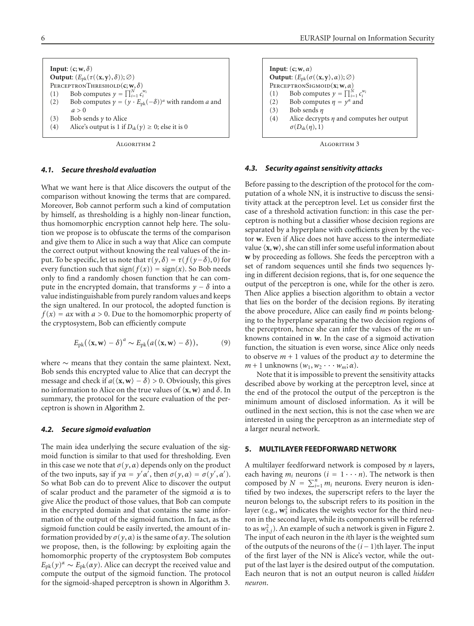**Input**: (**c**;**w**, *δ*) **Output:**  $(E_{pk}(\tau(\langle x, y \rangle, \delta)); \emptyset)$ PerceptronThreshold(**c**;**w**, *δ*) (1) Bob computes  $y = \prod_{i=1}^{N} c_i^{w_i}$ (2) Bob computes  $\gamma = (\gamma \cdot E_{\rm pk}(-\delta))^a$  with random *a* and  $a > 0$ (3) Bob sends *γ* to Alice (4) Alice's output is 1 if  $D_{sk}(\gamma) \ge 0$ ; else it is 0



# *4.1. Secure threshold evaluation*

What we want here is that Alice discovers the output of the comparison without knowing the terms that are compared. Moreover, Bob cannot perform such a kind of computation by himself, as thresholding is a highly non-linear function, thus homomorphic encryption cannot help here. The solution we propose is to obfuscate the terms of the comparison and give them to Alice in such a way that Alice can compute the correct output without knowing the real values of the input. To be specific, let us note that *τ*(*y*, *δ*) = *τ*(*f* (*y*−*δ*), 0) for every function such that  $sign(f(x)) = sign(x)$ . So Bob needs only to find a randomly chosen function that he can compute in the encrypted domain, that transforms  $y - \delta$  into a value indistinguishable from purely random values and keeps the sign unaltered. In our protocol, the adopted function is  $f(x) = ax$  with  $a > 0$ . Due to the homomorphic property of the cryptosystem, Bob can efficiently compute

$$
E_{\rm pk}(\langle \mathbf{x}, \mathbf{w} \rangle - \delta)^a \sim E_{\rm pk}(a(\langle \mathbf{x}, \mathbf{w} \rangle - \delta)), \tag{9}
$$

where <sup>∼</sup> means that they contain the same plaintext. Next, Bob sends this encrypted value to Alice that can decrypt the message and check if  $a(\langle \mathbf{x}, \mathbf{w} \rangle - \delta) > 0$ . Obviously, this gives no information to Alice on the true values of  $\langle$ **x**, **w** $\rangle$  and *δ*. In summary, the protocol for the secure evaluation of the perceptron is shown in Algorithm 2.

#### *4.2. Secure sigmoid evaluation*

The main idea underlying the secure evaluation of the sigmoid function is similar to that used for thresholding. Even in this case we note that  $\sigma(y, \alpha)$  depends only on the product of the two inputs, say if  $y\alpha = y'\alpha'$ , then  $\sigma(y, \alpha) = \sigma(y', \alpha')$ . So what Bob can do to prevent Alice to discover the output of scalar product and the parameter of the sigmoid *α* is to give Alice the product of those values, that Bob can compute in the encrypted domain and that contains the same information of the output of the sigmoid function. In fact, as the sigmoid function could be easily inverted, the amount of information provided by *σ*(*y*, *α*) is the same of *αy*. The solution we propose, then, is the following: by exploiting again the homomorphic property of the cryptosystem Bob computes  $E_{\rm pk}(y)$ <sup> $\alpha$ </sup> ~  $E_{\rm pk}(\alpha y)$ . Alice can decrypt the received value and compute the output of the sigmoid function. The protocol for the sigmoid-shaped perceptron is shown in Algorithm 3.





#### *4.3. Security against sensitivity attacks*

Before passing to the description of the protocol for the computation of a whole NN, it is instructive to discuss the sensitivity attack at the perceptron level. Let us consider first the case of a threshold activation function: in this case the perceptron is nothing but a classifier whose decision regions are separated by a hyperplane with coefficients given by the vector **w**. Even if Alice does not have access to the intermediate value  $\langle x, w \rangle$ , she can still infer some useful information about **w** by proceeding as follows. She feeds the perceptron with a set of random sequences until she finds two sequences lying in different decision regions, that is, for one sequence the output of the perceptron is one, while for the other is zero. Then Alice applies a bisection algorithm to obtain a vector that lies on the border of the decision regions. By iterating the above procedure, Alice can easily find *m* points belonging to the hyperplane separating the two decision regions of the perceptron, hence she can infer the values of the *m* unknowns contained in **w**. In the case of a sigmoid activation function, the situation is even worse, since Alice only needs to observe *m* + 1 values of the product *αy* to determine the  $m + 1$  unknowns  $(w_1, w_2 \cdots w_m; \alpha)$ .

Note that it is impossible to prevent the sensitivity attacks described above by working at the perceptron level, since at the end of the protocol the output of the perceptron is the minimum amount of disclosed information. As it will be outlined in the next section, this is not the case when we are interested in using the perceptron as an intermediate step of a larger neural network.

# <span id="page-5-0"></span>**5. MULTILAYER FEEDFORWARD NETWORK**

A multilayer feedforward network is composed by *n* layers, each having  $m_i$  neurons  $(i = 1 \cdots n)$ . The network is then composed by  $N = \sum_{i=1}^{n} m_i$  neurons. Every neuron is identified by two indexes, the superscript refers to the layer the neuron belongs to, the subscript refers to its position in the layer (e.g.,  $w_3^2$  indicates the weights vector for the third neuron in the second layer, while its components will be referred to as  $w_{3,j}^2$ ). An example of such a network is given in [Figure 2.](#page-6-0) The input of each neuron in the *i*th layer is the weighted sum of the outputs of the neurons of the (*i* − 1)th layer. The input of the first layer of the NN is Alice's vector, while the output of the last layer is the desired output of the computation. Each neuron that is not an output neuron is called *hidden neuron*.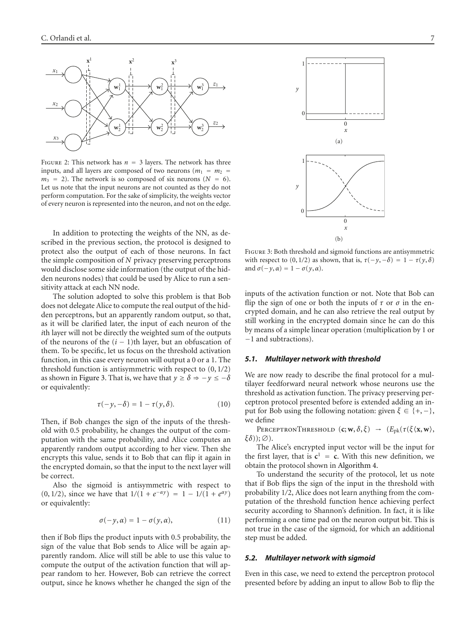

<span id="page-6-0"></span>FIGURE 2: This network has  $n = 3$  layers. The network has three inputs, and all layers are composed of two neurons  $(m_1 = m_2 =$  $m_3$  = 2). The network is so composed of six neurons ( $N = 6$ ). Let us note that the input neurons are not counted as they do not perform computation. For the sake of simplicity, the weights vector of every neuron is represented into the neuron, and not on the edge.

In addition to protecting the weights of the NN, as described in the previous section, the protocol is designed to protect also the output of each of those neurons. In fact the simple composition of *N* privacy preserving perceptrons would disclose some side information (the output of the hidden neurons nodes) that could be used by Alice to run a sensitivity attack at each NN node.

The solution adopted to solve this problem is that Bob does not delegate Alice to compute the real output of the hidden perceptrons, but an apparently random output, so that, as it will be clarified later, the input of each neuron of the *i*th layer will not be directly the weighted sum of the outputs of the neurons of the (*i* − 1)th layer, but an obfuscation of them. To be specific, let us focus on the threshold activation function, in this case every neuron will output a 0 or a 1. The threshold function is antisymmetric with respect to (0, 1*/*2) as shown in [Figure 3.](#page-6-1) That is, we have that  $y \ge \delta \Rightarrow -y \le -\delta$ or equivalently:

$$
\tau(-y, -\delta) = 1 - \tau(y, \delta). \tag{10}
$$

Then, if Bob changes the sign of the inputs of the threshold with 0.5 probability, he changes the output of the computation with the same probability, and Alice computes an apparently random output according to her view. Then she encrypts this value, sends it to Bob that can flip it again in the encrypted domain, so that the input to the next layer will be correct.

Also the sigmoid is antisymmetric with respect to (0, 1/2), since we have that  $1/(1 + e^{-\alpha y}) = 1 - 1/(1 + e^{\alpha y})$ or equivalently:

$$
\sigma(-y,\alpha) = 1 - \sigma(y,\alpha), \qquad (11)
$$

then if Bob flips the product inputs with 0.5 probability, the sign of the value that Bob sends to Alice will be again apparently random. Alice will still be able to use this value to compute the output of the activation function that will appear random to her. However, Bob can retrieve the correct output, since he knows whether he changed the sign of the



<span id="page-6-1"></span>Figure 3: Both threshold and sigmoid functions are antisymmetric with respect to  $(0, 1/2)$  as shown, that is,  $\tau(-y, -\delta) = 1 - \tau(y, \delta)$ and  $\sigma(-y, \alpha) = 1 - \sigma(y, \alpha)$ .

inputs of the activation function or not. Note that Bob can flip the sign of one or both the inputs of  $\tau$  or  $\sigma$  in the encrypted domain, and he can also retrieve the real output by still working in the encrypted domain since he can do this by means of a simple linear operation (multiplication by 1 or −1 and subtractions).

# *5.1. Multilayer network with threshold*

We are now ready to describe the final protocol for a multilayer feedforward neural network whose neurons use the threshold as activation function. The privacy preserving perceptron protocol presented before is extended adding an input for Bob using the following notation: given  $\xi \in \{+, -\}$ , we define

PERCEPTRONTHRESHOLD  $(c; w, \delta, \xi) \rightarrow (E_{pk}(\tau(\xi \langle x, w),$ *ξδ*)); ∅).

The Alice's encrypted input vector will be the input for the first layer, that is  $c^1 = c$ . With this new definition, we obtain the protocol shown in Algorithm 4.

To understand the security of the protocol, let us note that if Bob flips the sign of the input in the threshold with probability 1*/*2, Alice does not learn anything from the computation of the threshold function hence achieving perfect security according to Shannon's definition. In fact, it is like performing a one time pad on the neuron output bit. This is not true in the case of the sigmoid, for which an additional step must be added.

#### *5.2. Multilayer network with sigmoid*

Even in this case, we need to extend the perceptron protocol presented before by adding an input to allow Bob to flip the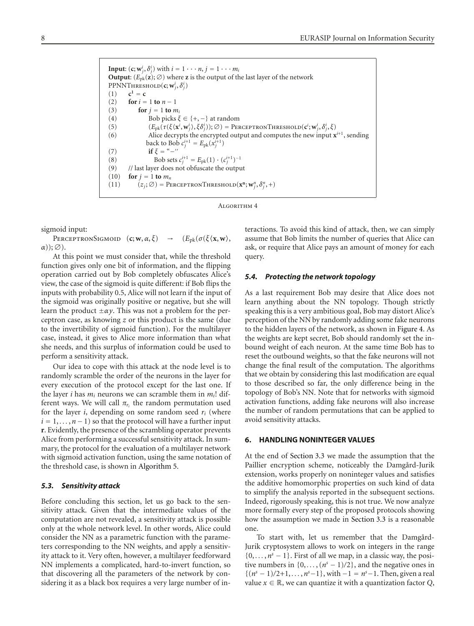**Input:**  $(c; w<sup>i</sup><sub>j</sub>, \delta<sup>i</sup><sub>j</sub>)$  with  $i = 1 \cdots n, j = 1 \cdots m$ <sub>*i*</sub> **Output:**  $(E_{\text{pk}}(\mathbf{z}); \emptyset)$  where **z** is the output of the last layer of the network  $PPNNTHRESHOLD(c; w<sup>i</sup><sub>j</sub>, \delta<sup>i</sup><sub>j</sub>)$ (1)  $c^1 = c$ <br>(2) for  $i =$ (2) **for**  $i = 1$  **to**  $n - 1$ <br>(3) **for**  $i = 1$  **to**  $n$ (3) **for**  $j = 1$  **to**  $m_i$ <br>(4) **h** Bob picks  $\xi$ (4) Bob picks  $\xi \in \{+, -\}$  at random<br>(5)  $(E_{nk}(\tau(\xi\langle \mathbf{x}^i, \mathbf{w}^i_i), \xi \delta^i_i)); \emptyset) = \text{PEF}$ (5)  $(E_{pk}(\tau(\xi\langle\mathbf{x}^i,\mathbf{w}^i_j),\xi\delta^i_j)); \emptyset) = \text{PerceptronNThreshold}(\mathbf{c}^i;\mathbf{w}^i_j,\delta^i_j,\xi)$ (6) Alice decrypts the encrypted output and computes the new input **x***<sup>i</sup>*+1, sending back to Bob  $c_j^{i+1} = E_{\rm pk}(x_j^{i+1})$ (7) **if**  $\xi = \frac{a - b}{c}$ (8) Bob sets  $c_j^{i+1} = E_{pk}(1) \cdot (c_j^{i+1})^{-1}$ (9) // last layer does not obfuscate the output (10) **for**  $j = 1$  **to**  $m_n$ <br>(11)  $(z_i; \emptyset) = P_E$ (11)  $(z_j; \emptyset) = \text{PerceptronNThreshold}(\mathbf{x}^n; \mathbf{w}_j^n, \delta_j^n, +)$ 



sigmoid input:

PERCEPTRONSIGMOID  $(c; w, \alpha, \xi) \rightarrow (E_{pk}(\sigma(\xi \langle x, w),$  $\alpha$ ));  $\varnothing$ ).

At this point we must consider that, while the threshold function gives only one bit of information, and the flipping operation carried out by Bob completely obfuscates Alice's view, the case of the sigmoid is quite different: if Bob flips the inputs with probability 0.5, Alice will not learn if the input of the sigmoid was originally positive or negative, but she will learn the product  $\pm \alpha y$ . This was not a problem for the perceptron case, as knowing *z* or this product is the same (due to the invertibility of sigmoid function). For the multilayer case, instead, it gives to Alice more information than what she needs, and this surplus of information could be used to perform a sensitivity attack.

Our idea to cope with this attack at the node level is to randomly scramble the order of the neurons in the layer for every execution of the protocol except for the last one. If the layer *i* has  $m_i$  neurons we can scramble them in  $m_i$ ! different ways. We will call  $\pi_{r_i}$  the random permutation used for the layer *i*, depending on some random seed *ri* (where  $i = 1, \ldots, n-1$  so that the protocol will have a further input **r**. Evidently, the presence of the scrambling operator prevents Alice from performing a successful sensitivity attack. In summary, the protocol for the evaluation of a multilayer network with sigmoid activation function, using the same notation of the threshold case, is shown in Algorithm 5.

# *5.3. Sensitivity attack*

Before concluding this section, let us go back to the sensitivity attack. Given that the intermediate values of the computation are not revealed, a sensitivity attack is possible only at the whole network level. In other words, Alice could consider the NN as a parametric function with the parameters corresponding to the NN weights, and apply a sensitivity attack to it. Very often, however, a multilayer feedforward NN implements a complicated, hard-to-invert function, so that discovering all the parameters of the network by considering it as a black box requires a very large number of interactions. To avoid this kind of attack, then, we can simply assume that Bob limits the number of queries that Alice can ask, or require that Alice pays an amount of money for each query.

#### *5.4. Protecting the network topology*

As a last requirement Bob may desire that Alice does not learn anything about the NN topology. Though strictly speaking this is a very ambitious goal, Bob may distort Alice's perception of the NN by randomly adding some fake neurons to the hidden layers of the network, as shown in [Figure 4.](#page-8-0) As the weights are kept secret, Bob should randomly set the inbound weight of each neuron. At the same time Bob has to reset the outbound weights, so that the fake neurons will not change the final result of the computation. The algorithms that we obtain by considering this last modification are equal to those described so far, the only difference being in the topology of Bob's NN. Note that for networks with sigmoid activation functions, adding fake neurons will also increase the number of random permutations that can be applied to avoid sensitivity attacks.

# <span id="page-7-0"></span>**6. HANDLING NONINTEGER VALUES**

At the end of [Section 3.3](#page-3-0) we made the assumption that the Paillier encryption scheme, noticeably the Damgård-Jurik extension, works properly on noninteger values and satisfies the additive homomorphic properties on such kind of data to simplify the analysis reported in the subsequent sections. Indeed, rigorously speaking, this is not true. We now analyze more formally every step of the proposed protocols showing how the assumption we made in [Section 3.3](#page-3-0) is a reasonable one.

To start with, let us remember that the Damgård-Jurik cryptosystem allows to work on integers in the range  $\{0, \ldots, n^s - 1\}$ . First of all we map, in a classic way, the positive numbers in  $\{0, \ldots, (n^s - 1)/2\}$ , and the negative ones in {(*n<sup>s</sup>* <sup>−</sup> 1)*/*2+1, *...* , *n<sup>s</sup>* <sup>−</sup>1}, with <sup>−</sup>1 <sup>=</sup> *n<sup>s</sup>* −1. Then, given a real value  $x \in \mathbb{R}$ , we can quantize it with a quantization factor  $Q$ ,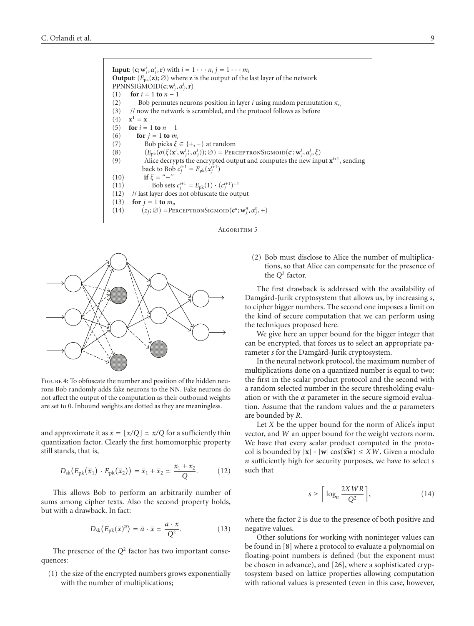**Input:** (**c**;  $w_j^i$ ,  $\alpha_j^i$ , **r**) with  $i = 1 \cdots n$ ,  $j = 1 \cdots m$ **Output:**  $(E_{\text{pk}}(\mathbf{z}); \emptyset)$  where **z** is the output of the last layer of the network PPNNSIGMOID( $\mathbf{c}; \mathbf{w}_j^i, \alpha_j^i, \mathbf{r}$ ) (1) **for**  $i = 1$  **to**  $n - 1$ <br>(2) Bob permutes (2) Bob permutes neurons position in layer *i* using random permutation  $\pi_{r_i}$ <br>(3) // now the network is scrambled, and the protocol follows as before // now the network is scrambled, and the protocol follows as before (4)  $x^1 = x$ <br>(5) for  $i =$ (5) **for**  $i = 1$  **to**  $n - 1$ <br>(6) **for**  $j = 1$  **to**  $m$ (6) **for**  $j = 1$  **to**  $m_i$ <br>(7) **h** Bob picks  $\xi$ (7) Bob picks  $\xi \in \{+, -\}$  at random<br>
(8)  $(E_{\text{pk}}(\sigma(\xi\langle \mathbf{x}^i, \mathbf{w}_i^i), \alpha_i^i)); \emptyset) = \text{PER}$ (8)  $(E_{pk}(\sigma(\xi \langle \mathbf{x}^i, \mathbf{w}^i_j), \alpha^i_j)); \emptyset) = \text{PerceptronS} \text{Gamma}(\mathbf{c}^i; \mathbf{w}^i_j, \alpha^i_j, \xi)$ (9) Alice decrypts the encrypted output and computes the new input **x***<sup>i</sup>*+1, sending back to Bob  $c_j^{i+1} = E_{\text{pk}}(x_j^{i+1})$ (10) **if**  $\xi =$  "−" (11) Bob sets  $c_j^{i+1} = E_{pk}(1) \cdot (c_j^{i+1})^{-1}$ (12) // last layer does not obfuscate the output (13) **for**  $j = 1$  **to**  $m_n$ <br>(14)  $(z_i; \emptyset) = P_E$ (14)  $(z_j; \emptyset) = \text{PerceprronSigmoid}(\mathbf{c}^n; \mathbf{w}_j^n, \alpha_j^n, +)$ 





<span id="page-8-0"></span>FIGURE 4: To obfuscate the number and position of the hidden neurons Bob randomly adds fake neurons to the NN. Fake neurons do not affect the output of the computation as their outbound weights are set to 0. Inbound weights are dotted as they are meaningless.

and approximate it as  $\bar{x} = \lfloor x/Q \rfloor \approx x/Q$  for a sufficiently thin quantization factor. Clearly the first homomorphic property still stands, that is,

$$
D_{\rm sk}(E_{\rm pk}(\overline{x}_1) \cdot E_{\rm pk}(\overline{x}_2)) = \overline{x}_1 + \overline{x}_2 \simeq \frac{x_1 + x_2}{Q}.
$$
 (12)

This allows Bob to perform an arbitrarily number of sums among cipher texts. Also the second property holds, but with a drawback. In fact:

$$
D_{\rm sk}(E_{\rm pk}(\overline{x})^{\overline{a}}) = \overline{a} \cdot \overline{x} \simeq \frac{a \cdot x}{Q^2}.
$$
 (13)

The presence of the  $Q^2$  factor has two important consequences:

(1) the size of the encrypted numbers grows exponentially with the number of multiplications;

(2) Bob must disclose to Alice the number of multiplications, so that Alice can compensate for the presence of the *Q*<sup>2</sup> factor.

The first drawback is addressed with the availability of Damgård-Jurik cryptosystem that allows us, by increasing s, to cipher bigger numbers. The second one imposes a limit on the kind of secure computation that we can perform using the techniques proposed here.

We give here an upper bound for the bigger integer that can be encrypted, that forces us to select an appropriate parameter *s* for the Damgård-Jurik cryptosystem.

In the neural network protocol, the maximum number of multiplications done on a quantized number is equal to two: the first in the scalar product protocol and the second with a random selected number in the secure thresholding evaluation or with the *α* parameter in the secure sigmoid evaluation. Assume that the random values and the *α* parameters are bounded by *R*.

Let *X* be the upper bound for the norm of Alice's input vector, and *W* an upper bound for the weight vectors norm. We have that every scalar product computed in the protocol is bounded by  $|\mathbf{x}| \cdot |\mathbf{w}| \cos(\hat{\mathbf{xw}}) \leq XW$ . Given a modulo *n* sufficiently high for security purposes, we have to select *s* such that

$$
s \ge \left\lceil \log_n \frac{2XWR}{Q^2} \right\rceil,\tag{14}
$$

where the factor 2 is due to the presence of both positive and negative values.

Other solutions for working with noninteger values can be found in [\[8](#page-10-2)] where a protocol to evaluate a polynomial on floating-point numbers is defined (but the exponent must be chosen in advance), and [\[26](#page-10-20)], where a sophisticated cryptosystem based on lattice properties allowing computation with rational values is presented (even in this case, however,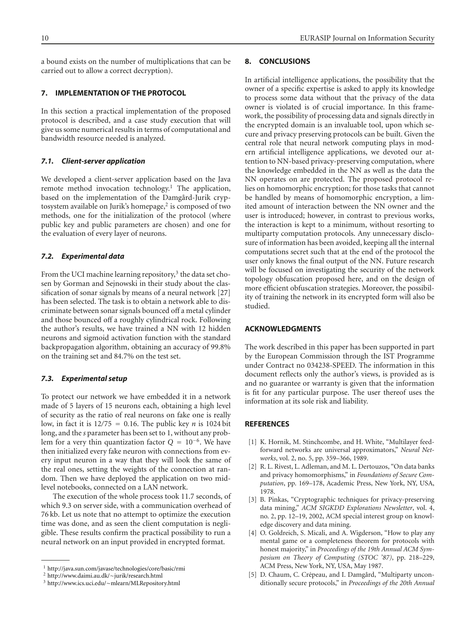a bound exists on the number of multiplications that can be carried out to allow a correct decryption).

# <span id="page-9-6"></span>**7. IMPLEMENTATION OF THE PROTOCOL**

In this section a practical implementation of the proposed protocol is described, and a case study execution that will give us some numerical results in terms of computational and bandwidth resource needed is analyzed.

# *7.1. Client-server application*

We developed a client-server application based on the Java remote method invocation technology.<sup>1</sup> The application, based on the implementation of the Damgård-Jurik cryptosystem available on Jurik's homepage, $2$  is composed of two methods, one for the initialization of the protocol (where public key and public parameters are chosen) and one for the evaluation of every layer of neurons.

# *7.2. Experimental data*

From the UCI machine learning repository, $3$  the data set chosen by Gorman and Sejnowski in their study about the classification of sonar signals by means of a neural network [\[27\]](#page-10-21) has been selected. The task is to obtain a network able to discriminate between sonar signals bounced off a metal cylinder and those bounced off a roughly cylindrical rock. Following the author's results, we have trained a NN with 12 hidden neurons and sigmoid activation function with the standard backpropagation algorithm, obtaining an accuracy of 99.8% on the training set and 84.7% on the test set.

# *7.3. Experimental setup*

To protect our network we have embedded it in a network made of 5 layers of 15 neurons each, obtaining a high level of security as the ratio of real neurons on fake one is really low, in fact it is 12*/*75 = 0*.*16. The public key *n* is 1024 bit long, and the *s* parameter has been set to 1, without any problem for a very thin quantization factor  $Q = 10^{-6}$ . We have then initialized every fake neuron with connections from every input neuron in a way that they will look the same of the real ones, setting the weights of the connection at random. Then we have deployed the application on two midlevel notebooks, connected on a LAN network.

The execution of the whole process took 11.7 seconds, of which 9.3 on server side, with a communication overhead of 76 kb. Let us note that no attempt to optimize the execution time was done, and as seen the client computation is negligible. These results confirm the practical possibility to run a neural network on an input provided in encrypted format.

# <span id="page-9-7"></span>**8. CONCLUSIONS**

In artificial intelligence applications, the possibility that the owner of a specific expertise is asked to apply its knowledge to process some data without that the privacy of the data owner is violated is of crucial importance. In this framework, the possibility of processing data and signals directly in the encrypted domain is an invaluable tool, upon which secure and privacy preserving protocols can be built. Given the central role that neural network computing plays in modern artificial intelligence applications, we devoted our attention to NN-based privacy-preserving computation, where the knowledge embedded in the NN as well as the data the NN operates on are protected. The proposed protocol relies on homomorphic encryption; for those tasks that cannot be handled by means of homomorphic encryption, a limited amount of interaction between the NN owner and the user is introduced; however, in contrast to previous works, the interaction is kept to a minimum, without resorting to multiparty computation protocols. Any unnecessary disclosure of information has been avoided, keeping all the internal computations secret such that at the end of the protocol the user only knows the final output of the NN. Future research will be focused on investigating the security of the network topology obfuscation proposed here, and on the design of more efficient obfuscation strategies. Moreover, the possibility of training the network in its encrypted form will also be studied.

# **ACKNOWLEDGMENTS**

The work described in this paper has been supported in part by the European Commission through the IST Programme under Contract no 034238-SPEED. The information in this document reflects only the author's views, is provided as is and no guarantee or warranty is given that the information is fit for any particular purpose. The user thereof uses the information at its sole risk and liability.

# <span id="page-9-1"></span><span id="page-9-0"></span>**REFERENCES**

- [1] K. Hornik, M. Stinchcombe, and H. White, "Multilayer feedforward networks are universal approximators," *Neural Networks*, vol. 2, no. 5, pp. 359–366, 1989.
- <span id="page-9-2"></span>[2] R. L. Rivest, L. Adleman, and M. L. Dertouzos, "On data banks and privacy homomorphisms," in *Foundations of Secure Computation*, pp. 169–178, Academic Press, New York, NY, USA, 1978.
- <span id="page-9-3"></span>[3] B. Pinkas, "Cryptographic techniques for privacy-preserving data mining," *ACM SIGKDD Explorations Newsletter*, vol. 4, no. 2, pp. 12–19, 2002, ACM special interest group on knowledge discovery and data mining.
- <span id="page-9-4"></span>[4] O. Goldreich, S. Micali, and A. Wigderson, "How to play any mental game or a completeness theorem for protocols with honest majority," in *Proceedings of the 19th Annual ACM Symposium on Theory of Computing (STOC '87)*, pp. 218–229, ACM Press, New York, NY, USA, May 1987.
- <span id="page-9-5"></span>[5] D. Chaum, C. Crépeau, and I. Damgård, "Multiparty unconditionally secure protocols," in *Proceedings of the 20th Annual*

 $^1$ <http://java.sun.com/javase/technologies/core/basic/rmi> $^2$ http://www.daimi.au.dk/~jurik/research.html

<sup>&</sup>lt;sup>3</sup> http://www.ics.uci.edu/∼[mlearn/MLRepository.html](http://www.ics.uci.edu/~mlearn/MLRepository.html)